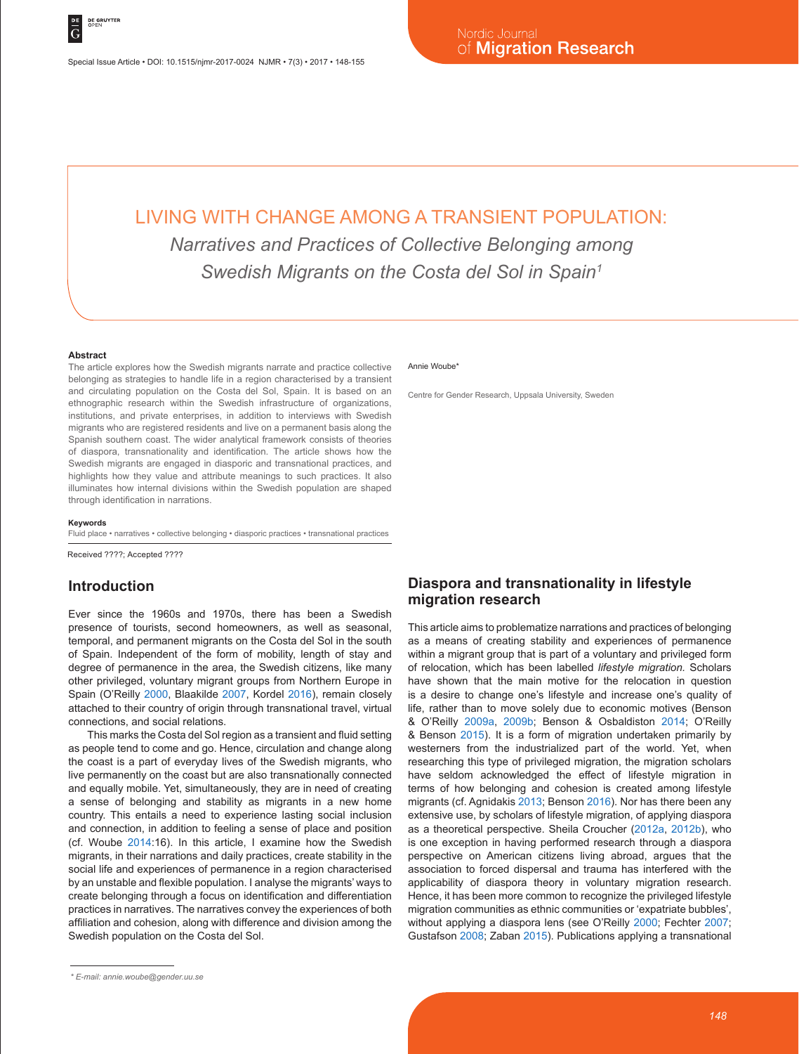Special Issue Article • DOI: 10.1515/njmr-2017-0024 NJMR • 7(3) • 2017 • 148-155

# LIVING WITH CHANGE AMONG A TRANSIENT POPULATION: *Narratives and Practices of Collective Belonging among Swedish Migrants on the Costa del Sol in Spain1*

### **Abstract**

The article explores how the Swedish migrants narrate and practice collective belonging as strategies to handle life in a region characterised by a transient and circulating population on the Costa del Sol, Spain. It is based on an ethnographic research within the Swedish infrastructure of organizations, institutions, and private enterprises, in addition to interviews with Swedish migrants who are registered residents and live on a permanent basis along the Spanish southern coast. The wider analytical framework consists of theories of diaspora, transnationality and identification. The article shows how the Swedish migrants are engaged in diasporic and transnational practices, and highlights how they value and attribute meanings to such practices. It also illuminates how internal divisions within the Swedish population are shaped through identification in narrations.

### **Keywords**

Fluid place • narratives • collective belonging • diasporic practices • transnational practices

Received ????; Accepted ????

# **Introduction**

Ever since the 1960s and 1970s, there has been a Swedish presence of tourists, second homeowners, as well as seasonal, temporal, and permanent migrants on the Costa del Sol in the south of Spain. Independent of the form of mobility, length of stay and degree of permanence in the area, the Swedish citizens, like many other privileged, voluntary migrant groups from Northern Europe in Spain (O'Reilly 2000, Blaakilde 2007, Kordel 2016), remain closely attached to their country of origin through transnational travel, virtual connections, and social relations.

This marks the Costa del Sol region as a transient and fluid setting as people tend to come and go. Hence, circulation and change along the coast is a part of everyday lives of the Swedish migrants, who live permanently on the coast but are also transnationally connected and equally mobile. Yet, simultaneously, they are in need of creating a sense of belonging and stability as migrants in a new home country. This entails a need to experience lasting social inclusion and connection, in addition to feeling a sense of place and position (cf. Woube 2014:16). In this article, I examine how the Swedish migrants, in their narrations and daily practices, create stability in the social life and experiences of permanence in a region characterised by an unstable and flexible population. I analyse the migrants' ways to create belonging through a focus on identification and differentiation practices in narratives. The narratives convey the experiences of both affiliation and cohesion, along with difference and division among the Swedish population on the Costa del Sol.

#### Annie Woube<sup>\*</sup>

Centre for Gender Research, Uppsala University, Sweden

# **Diaspora and transnationality in lifestyle migration research**

This article aims to problematize narrations and practices of belonging as a means of creating stability and experiences of permanence within a migrant group that is part of a voluntary and privileged form of relocation, which has been labelled *lifestyle migration.* Scholars have shown that the main motive for the relocation in question is a desire to change one's lifestyle and increase one's quality of life, rather than to move solely due to economic motives (Benson & O'Reilly 2009a, 2009b; Benson & Osbaldiston 2014; O'Reilly & Benson 2015). It is a form of migration undertaken primarily by westerners from the industrialized part of the world. Yet, when researching this type of privileged migration, the migration scholars have seldom acknowledged the effect of lifestyle migration in terms of how belonging and cohesion is created among lifestyle migrants (cf. Agnidakis 2013; Benson 2016). Nor has there been any extensive use, by scholars of lifestyle migration, of applying diaspora as a theoretical perspective. Sheila Croucher (2012a, 2012b), who is one exception in having performed research through a diaspora perspective on American citizens living abroad, argues that the association to forced dispersal and trauma has interfered with the applicability of diaspora theory in voluntary migration research. Hence, it has been more common to recognize the privileged lifestyle migration communities as ethnic communities or 'expatriate bubbles', without applying a diaspora lens (see O'Reilly 2000; Fechter 2007; Gustafson 2008; Zaban 2015). Publications applying a transnational

*<sup>\*</sup> E-mail: annie.woube@gender.uu.se*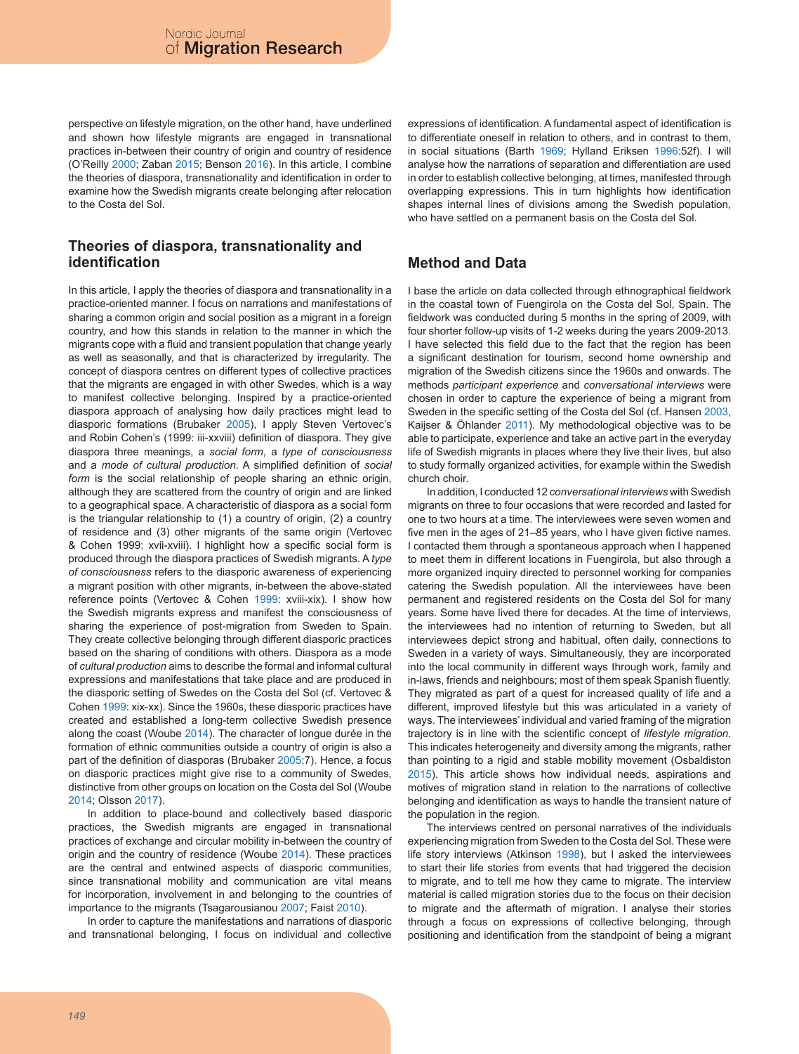perspective on lifestyle migration, on the other hand, have underlined and shown how lifestyle migrants are engaged in transnational practices in-between their country of origin and country of residence (O'Reilly 2000; Zaban 2015; Benson 2016). In this article, I combine the theories of diaspora, transnationality and identification in order to examine how the Swedish migrants create belonging after relocation to the Costa del Sol.

# **Theories of diaspora, transnationality and identification**

In this article, I apply the theories of diaspora and transnationality in a practice-oriented manner. I focus on narrations and manifestations of sharing a common origin and social position as a migrant in a foreign country, and how this stands in relation to the manner in which the migrants cope with a fluid and transient population that change yearly as well as seasonally, and that is characterized by irregularity. The concept of diaspora centres on different types of collective practices that the migrants are engaged in with other Swedes, which is a way to manifest collective belonging. Inspired by a practice-oriented diaspora approach of analysing how daily practices might lead to diasporic formations (Brubaker 2005), I apply Steven Vertovec's and Robin Cohen's (1999: iii-xxviii) definition of diaspora. They give diaspora three meanings, a *social form*, a *type of consciousness* and a *mode of cultural production*. A simplified definition of *social form* is the social relationship of people sharing an ethnic origin, although they are scattered from the country of origin and are linked to a geographical space. A characteristic of diaspora as a social form is the triangular relationship to (1) a country of origin, (2) a country of residence and (3) other migrants of the same origin (Vertovec & Cohen 1999: xvii-xviii). I highlight how a specific social form is produced through the diaspora practices of Swedish migrants. A *type of consciousness* refers to the diasporic awareness of experiencing a migrant position with other migrants, in-between the above-stated reference points (Vertovec & Cohen 1999: xviii-xix). I show how the Swedish migrants express and manifest the consciousness of sharing the experience of post-migration from Sweden to Spain. They create collective belonging through different diasporic practices based on the sharing of conditions with others. Diaspora as a mode of *cultural production* aims to describe the formal and informal cultural expressions and manifestations that take place and are produced in the diasporic setting of Swedes on the Costa del Sol (cf. Vertovec & Cohen 1999: xix-xx). Since the 1960s, these diasporic practices have created and established a long-term collective Swedish presence along the coast (Woube 2014). The character of longue durée in the formation of ethnic communities outside a country of origin is also a part of the definition of diasporas (Brubaker 2005:7). Hence, a focus on diasporic practices might give rise to a community of Swedes, distinctive from other groups on location on the Costa del Sol (Woube 2014; Olsson 2017).

In addition to place-bound and collectively based diasporic practices, the Swedish migrants are engaged in transnational practices of exchange and circular mobility in-between the country of origin and the country of residence (Woube 2014). These practices are the central and entwined aspects of diasporic communities, since transnational mobility and communication are vital means for incorporation, involvement in and belonging to the countries of importance to the migrants (Tsagarousianou 2007; Faist 2010).

In order to capture the manifestations and narrations of diasporic and transnational belonging, I focus on individual and collective

expressions of identification. A fundamental aspect of identification is to differentiate oneself in relation to others, and in contrast to them, in social situations (Barth 1969; Hylland Eriksen 1996:52f). I will analyse how the narrations of separation and differentiation are used in order to establish collective belonging, at times, manifested through overlapping expressions. This in turn highlights how identification shapes internal lines of divisions among the Swedish population, who have settled on a permanent basis on the Costa del Sol.

# **Method and Data**

I base the article on data collected through ethnographical fieldwork in the coastal town of Fuengirola on the Costa del Sol, Spain. The fieldwork was conducted during 5 months in the spring of 2009, with four shorter follow-up visits of 1-2 weeks during the years 2009-2013. I have selected this field due to the fact that the region has been a significant destination for tourism, second home ownership and migration of the Swedish citizens since the 1960s and onwards. The methods *participant experience* and *conversational interviews* were chosen in order to capture the experience of being a migrant from Sweden in the specific setting of the Costa del Sol (cf. Hansen 2003, Kaijser & Öhlander 2011). My methodological objective was to be able to participate, experience and take an active part in the everyday life of Swedish migrants in places where they live their lives, but also to study formally organized activities, for example within the Swedish church choir.

In addition, I conducted 12 *conversational interviews* with Swedish migrants on three to four occasions that were recorded and lasted for one to two hours at a time. The interviewees were seven women and five men in the ages of 21–85 years, who I have given fictive names. I contacted them through a spontaneous approach when I happened to meet them in different locations in Fuengirola, but also through a more organized inquiry directed to personnel working for companies catering the Swedish population. All the interviewees have been permanent and registered residents on the Costa del Sol for many years. Some have lived there for decades. At the time of interviews, the interviewees had no intention of returning to Sweden, but all interviewees depict strong and habitual, often daily, connections to Sweden in a variety of ways. Simultaneously, they are incorporated into the local community in different ways through work, family and in-laws, friends and neighbours; most of them speak Spanish fluently. They migrated as part of a quest for increased quality of life and a different, improved lifestyle but this was articulated in a variety of ways. The interviewees' individual and varied framing of the migration trajectory is in line with the scientific concept of *lifestyle migration*. This indicates heterogeneity and diversity among the migrants, rather than pointing to a rigid and stable mobility movement (Osbaldiston 2015). This article shows how individual needs, aspirations and motives of migration stand in relation to the narrations of collective belonging and identification as ways to handle the transient nature of the population in the region.

The interviews centred on personal narratives of the individuals experiencing migration from Sweden to the Costa del Sol. These were life story interviews (Atkinson 1998), but I asked the interviewees to start their life stories from events that had triggered the decision to migrate, and to tell me how they came to migrate. The interview material is called migration stories due to the focus on their decision to migrate and the aftermath of migration. I analyse their stories through a focus on expressions of collective belonging, through positioning and identification from the standpoint of being a migrant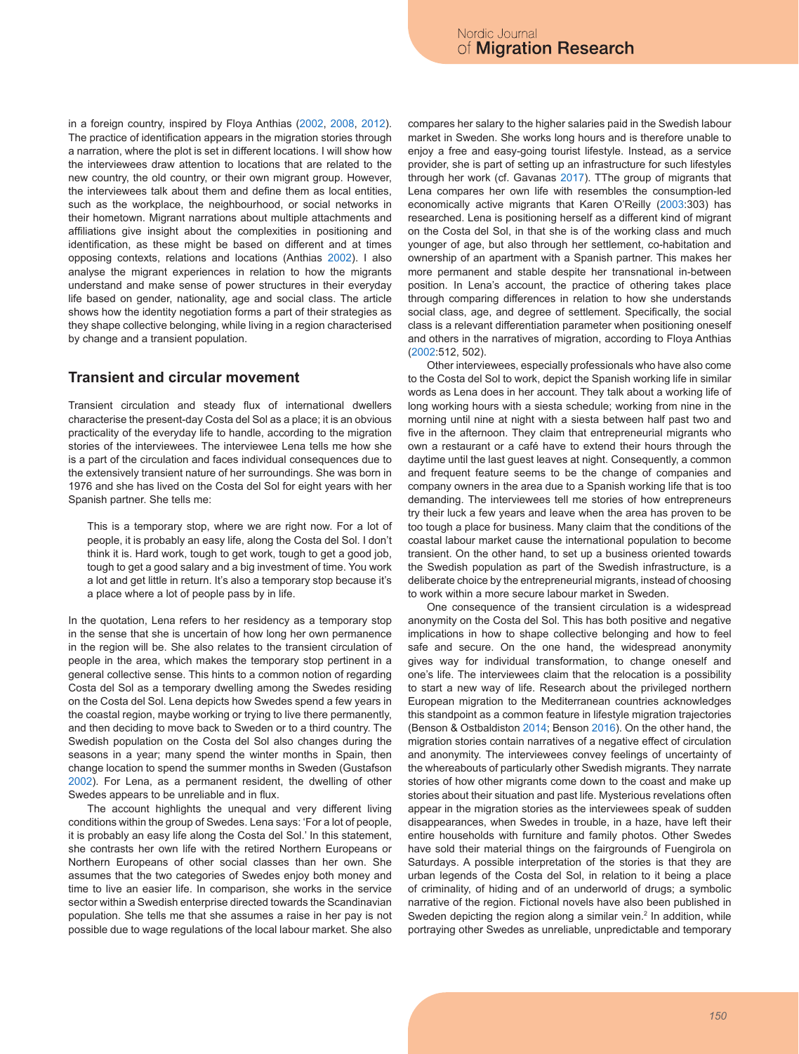in a foreign country, inspired by Floya Anthias (2002, 2008, 2012). The practice of identification appears in the migration stories through a narration, where the plot is set in different locations. I will show how the interviewees draw attention to locations that are related to the new country, the old country, or their own migrant group. However, the interviewees talk about them and define them as local entities, such as the workplace, the neighbourhood, or social networks in their hometown. Migrant narrations about multiple attachments and affiliations give insight about the complexities in positioning and identification, as these might be based on different and at times opposing contexts, relations and locations (Anthias 2002). I also analyse the migrant experiences in relation to how the migrants understand and make sense of power structures in their everyday life based on gender, nationality, age and social class. The article shows how the identity negotiation forms a part of their strategies as they shape collective belonging, while living in a region characterised by change and a transient population.

# **Transient and circular movement**

Transient circulation and steady flux of international dwellers characterise the present-day Costa del Sol as a place; it is an obvious practicality of the everyday life to handle, according to the migration stories of the interviewees. The interviewee Lena tells me how she is a part of the circulation and faces individual consequences due to the extensively transient nature of her surroundings. She was born in 1976 and she has lived on the Costa del Sol for eight years with her Spanish partner. She tells me:

This is a temporary stop, where we are right now. For a lot of people, it is probably an easy life, along the Costa del Sol. I don't think it is. Hard work, tough to get work, tough to get a good job, tough to get a good salary and a big investment of time. You work a lot and get little in return. It's also a temporary stop because it's a place where a lot of people pass by in life.

In the quotation, Lena refers to her residency as a temporary stop in the sense that she is uncertain of how long her own permanence in the region will be. She also relates to the transient circulation of people in the area, which makes the temporary stop pertinent in a general collective sense. This hints to a common notion of regarding Costa del Sol as a temporary dwelling among the Swedes residing on the Costa del Sol. Lena depicts how Swedes spend a few years in the coastal region, maybe working or trying to live there permanently, and then deciding to move back to Sweden or to a third country. The Swedish population on the Costa del Sol also changes during the seasons in a year; many spend the winter months in Spain, then change location to spend the summer months in Sweden (Gustafson 2002). For Lena, as a permanent resident, the dwelling of other Swedes appears to be unreliable and in flux.

The account highlights the unequal and very different living conditions within the group of Swedes. Lena says: 'For a lot of people, it is probably an easy life along the Costa del Sol.' In this statement, she contrasts her own life with the retired Northern Europeans or Northern Europeans of other social classes than her own. She assumes that the two categories of Swedes enjoy both money and time to live an easier life. In comparison, she works in the service sector within a Swedish enterprise directed towards the Scandinavian population. She tells me that she assumes a raise in her pay is not possible due to wage regulations of the local labour market. She also compares her salary to the higher salaries paid in the Swedish labour market in Sweden. She works long hours and is therefore unable to enjoy a free and easy-going tourist lifestyle. Instead, as a service provider, she is part of setting up an infrastructure for such lifestyles through her work (cf. Gavanas 2017). TThe group of migrants that Lena compares her own life with resembles the consumption-led economically active migrants that Karen O'Reilly (2003:303) has researched. Lena is positioning herself as a different kind of migrant on the Costa del Sol, in that she is of the working class and much younger of age, but also through her settlement, co-habitation and ownership of an apartment with a Spanish partner. This makes her more permanent and stable despite her transnational in-between position. In Lena's account, the practice of othering takes place through comparing differences in relation to how she understands social class, age, and degree of settlement. Specifically, the social class is a relevant differentiation parameter when positioning oneself and others in the narratives of migration, according to Floya Anthias (2002:512, 502).

Other interviewees, especially professionals who have also come to the Costa del Sol to work, depict the Spanish working life in similar words as Lena does in her account. They talk about a working life of long working hours with a siesta schedule; working from nine in the morning until nine at night with a siesta between half past two and five in the afternoon. They claim that entrepreneurial migrants who own a restaurant or a café have to extend their hours through the daytime until the last guest leaves at night. Consequently, a common and frequent feature seems to be the change of companies and company owners in the area due to a Spanish working life that is too demanding. The interviewees tell me stories of how entrepreneurs try their luck a few years and leave when the area has proven to be too tough a place for business. Many claim that the conditions of the coastal labour market cause the international population to become transient. On the other hand, to set up a business oriented towards the Swedish population as part of the Swedish infrastructure, is a deliberate choice by the entrepreneurial migrants, instead of choosing to work within a more secure labour market in Sweden.

One consequence of the transient circulation is a widespread anonymity on the Costa del Sol. This has both positive and negative implications in how to shape collective belonging and how to feel safe and secure. On the one hand, the widespread anonymity gives way for individual transformation, to change oneself and one's life. The interviewees claim that the relocation is a possibility to start a new way of life. Research about the privileged northern European migration to the Mediterranean countries acknowledges this standpoint as a common feature in lifestyle migration trajectories (Benson & Ostbaldiston 2014; Benson 2016). On the other hand, the migration stories contain narratives of a negative effect of circulation and anonymity. The interviewees convey feelings of uncertainty of the whereabouts of particularly other Swedish migrants. They narrate stories of how other migrants come down to the coast and make up stories about their situation and past life. Mysterious revelations often appear in the migration stories as the interviewees speak of sudden disappearances, when Swedes in trouble, in a haze, have left their entire households with furniture and family photos. Other Swedes have sold their material things on the fairgrounds of Fuengirola on Saturdays. A possible interpretation of the stories is that they are urban legends of the Costa del Sol, in relation to it being a place of criminality, of hiding and of an underworld of drugs; a symbolic narrative of the region. Fictional novels have also been published in Sweden depicting the region along a similar vein.<sup>2</sup> In addition, while portraying other Swedes as unreliable, unpredictable and temporary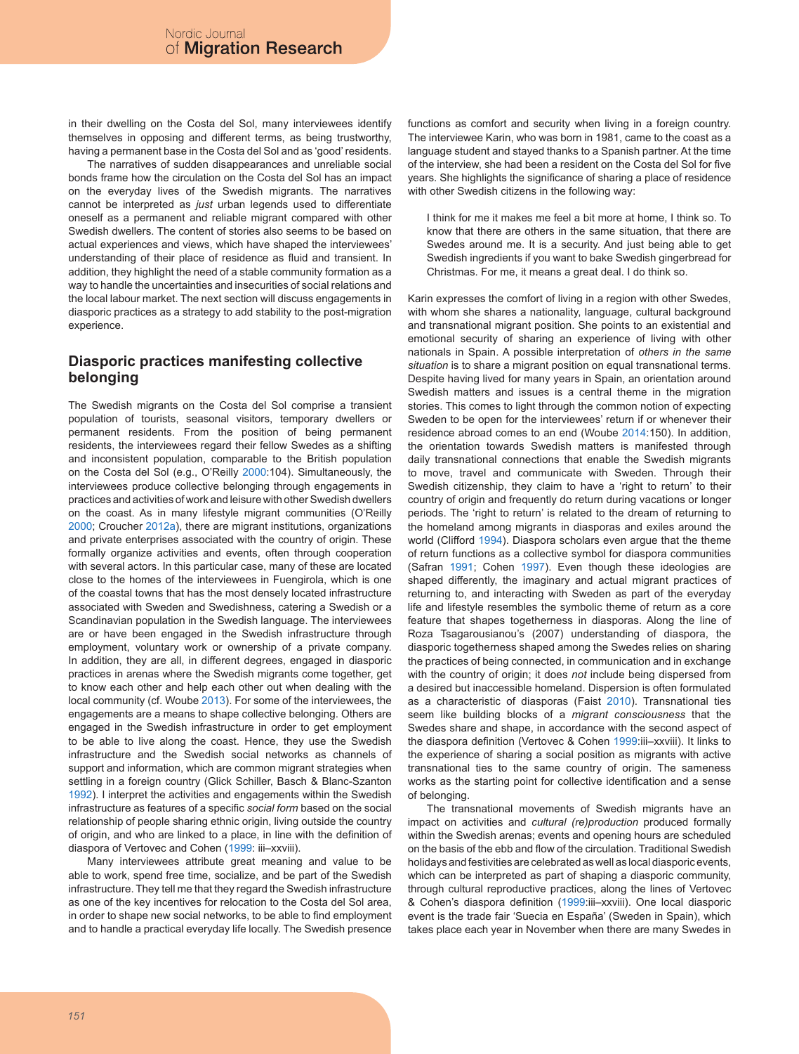in their dwelling on the Costa del Sol, many interviewees identify themselves in opposing and different terms, as being trustworthy, having a permanent base in the Costa del Sol and as 'good' residents.

The narratives of sudden disappearances and unreliable social bonds frame how the circulation on the Costa del Sol has an impact on the everyday lives of the Swedish migrants. The narratives cannot be interpreted as *just* urban legends used to differentiate oneself as a permanent and reliable migrant compared with other Swedish dwellers. The content of stories also seems to be based on actual experiences and views, which have shaped the interviewees' understanding of their place of residence as fluid and transient. In addition, they highlight the need of a stable community formation as a way to handle the uncertainties and insecurities of social relations and the local labour market. The next section will discuss engagements in diasporic practices as a strategy to add stability to the post-migration experience.

# **Diasporic practices manifesting collective belonging**

The Swedish migrants on the Costa del Sol comprise a transient population of tourists, seasonal visitors, temporary dwellers or permanent residents. From the position of being permanent residents, the interviewees regard their fellow Swedes as a shifting and inconsistent population, comparable to the British population on the Costa del Sol (e.g., O'Reilly 2000:104). Simultaneously, the interviewees produce collective belonging through engagements in practices and activities of work and leisure with other Swedish dwellers on the coast. As in many lifestyle migrant communities (O'Reilly 2000; Croucher 2012a), there are migrant institutions, organizations and private enterprises associated with the country of origin. These formally organize activities and events, often through cooperation with several actors. In this particular case, many of these are located close to the homes of the interviewees in Fuengirola, which is one of the coastal towns that has the most densely located infrastructure associated with Sweden and Swedishness, catering a Swedish or a Scandinavian population in the Swedish language. The interviewees are or have been engaged in the Swedish infrastructure through employment, voluntary work or ownership of a private company. In addition, they are all, in different degrees, engaged in diasporic practices in arenas where the Swedish migrants come together, get to know each other and help each other out when dealing with the local community (cf. Woube 2013). For some of the interviewees, the engagements are a means to shape collective belonging. Others are engaged in the Swedish infrastructure in order to get employment to be able to live along the coast. Hence, they use the Swedish infrastructure and the Swedish social networks as channels of support and information, which are common migrant strategies when settling in a foreign country (Glick Schiller, Basch & Blanc-Szanton 1992). I interpret the activities and engagements within the Swedish infrastructure as features of a specific *social form* based on the social relationship of people sharing ethnic origin, living outside the country of origin, and who are linked to a place, in line with the definition of diaspora of Vertovec and Cohen (1999: iii–xxviii).

Many interviewees attribute great meaning and value to be able to work, spend free time, socialize, and be part of the Swedish infrastructure. They tell me that they regard the Swedish infrastructure as one of the key incentives for relocation to the Costa del Sol area, in order to shape new social networks, to be able to find employment and to handle a practical everyday life locally. The Swedish presence

functions as comfort and security when living in a foreign country. The interviewee Karin, who was born in 1981, came to the coast as a language student and stayed thanks to a Spanish partner. At the time of the interview, she had been a resident on the Costa del Sol for five years. She highlights the significance of sharing a place of residence with other Swedish citizens in the following way:

I think for me it makes me feel a bit more at home, I think so. To know that there are others in the same situation, that there are Swedes around me. It is a security. And just being able to get Swedish ingredients if you want to bake Swedish gingerbread for Christmas. For me, it means a great deal. I do think so.

Karin expresses the comfort of living in a region with other Swedes, with whom she shares a nationality, language, cultural background and transnational migrant position. She points to an existential and emotional security of sharing an experience of living with other nationals in Spain. A possible interpretation of *others in the same situation* is to share a migrant position on equal transnational terms. Despite having lived for many years in Spain, an orientation around Swedish matters and issues is a central theme in the migration stories. This comes to light through the common notion of expecting Sweden to be open for the interviewees' return if or whenever their residence abroad comes to an end (Woube 2014:150). In addition, the orientation towards Swedish matters is manifested through daily transnational connections that enable the Swedish migrants to move, travel and communicate with Sweden. Through their Swedish citizenship, they claim to have a 'right to return' to their country of origin and frequently do return during vacations or longer periods. The 'right to return' is related to the dream of returning to the homeland among migrants in diasporas and exiles around the world (Clifford 1994). Diaspora scholars even argue that the theme of return functions as a collective symbol for diaspora communities (Safran 1991; Cohen 1997). Even though these ideologies are shaped differently, the imaginary and actual migrant practices of returning to, and interacting with Sweden as part of the everyday life and lifestyle resembles the symbolic theme of return as a core feature that shapes togetherness in diasporas. Along the line of Roza Tsagarousianou's (2007) understanding of diaspora, the diasporic togetherness shaped among the Swedes relies on sharing the practices of being connected, in communication and in exchange with the country of origin; it does *not* include being dispersed from a desired but inaccessible homeland. Dispersion is often formulated as a characteristic of diasporas (Faist 2010). Transnational ties seem like building blocks of a *migrant consciousness* that the Swedes share and shape, in accordance with the second aspect of the diaspora definition (Vertovec & Cohen 1999:iii–xxviii). It links to the experience of sharing a social position as migrants with active transnational ties to the same country of origin. The sameness works as the starting point for collective identification and a sense of belonging.

The transnational movements of Swedish migrants have an impact on activities and *cultural (re)production* produced formally within the Swedish arenas; events and opening hours are scheduled on the basis of the ebb and flow of the circulation. Traditional Swedish holidays and festivities are celebrated as well as local diasporic events, which can be interpreted as part of shaping a diasporic community, through cultural reproductive practices, along the lines of Vertovec & Cohen's diaspora definition (1999:iii–xxviii). One local diasporic event is the trade fair 'Suecia en España' (Sweden in Spain), which takes place each year in November when there are many Swedes in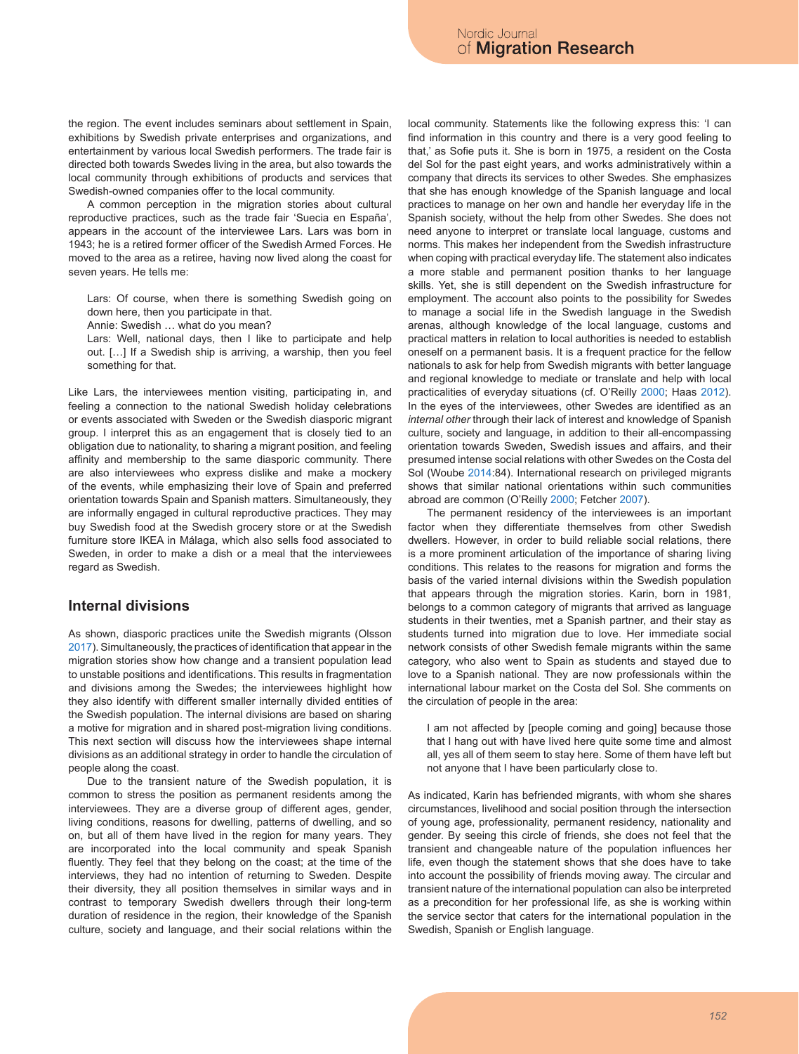the region. The event includes seminars about settlement in Spain, exhibitions by Swedish private enterprises and organizations, and entertainment by various local Swedish performers. The trade fair is directed both towards Swedes living in the area, but also towards the local community through exhibitions of products and services that Swedish-owned companies offer to the local community.

A common perception in the migration stories about cultural reproductive practices, such as the trade fair 'Suecia en España', appears in the account of the interviewee Lars. Lars was born in 1943; he is a retired former officer of the Swedish Armed Forces. He moved to the area as a retiree, having now lived along the coast for seven years. He tells me:

Lars: Of course, when there is something Swedish going on down here, then you participate in that.

Annie: Swedish … what do you mean?

Lars: Well, national days, then I like to participate and help out. […] If a Swedish ship is arriving, a warship, then you feel something for that.

Like Lars, the interviewees mention visiting, participating in, and feeling a connection to the national Swedish holiday celebrations or events associated with Sweden or the Swedish diasporic migrant group. I interpret this as an engagement that is closely tied to an obligation due to nationality, to sharing a migrant position, and feeling affinity and membership to the same diasporic community. There are also interviewees who express dislike and make a mockery of the events, while emphasizing their love of Spain and preferred orientation towards Spain and Spanish matters. Simultaneously, they are informally engaged in cultural reproductive practices. They may buy Swedish food at the Swedish grocery store or at the Swedish furniture store IKEA in Málaga, which also sells food associated to Sweden, in order to make a dish or a meal that the interviewees regard as Swedish.

# **Internal divisions**

As shown, diasporic practices unite the Swedish migrants (Olsson 2017). Simultaneously, the practices of identification that appear in the migration stories show how change and a transient population lead to unstable positions and identifications. This results in fragmentation and divisions among the Swedes; the interviewees highlight how they also identify with different smaller internally divided entities of the Swedish population. The internal divisions are based on sharing a motive for migration and in shared post-migration living conditions. This next section will discuss how the interviewees shape internal divisions as an additional strategy in order to handle the circulation of people along the coast.

Due to the transient nature of the Swedish population, it is common to stress the position as permanent residents among the interviewees. They are a diverse group of different ages, gender, living conditions, reasons for dwelling, patterns of dwelling, and so on, but all of them have lived in the region for many years. They are incorporated into the local community and speak Spanish fluently. They feel that they belong on the coast; at the time of the interviews, they had no intention of returning to Sweden. Despite their diversity, they all position themselves in similar ways and in contrast to temporary Swedish dwellers through their long-term duration of residence in the region, their knowledge of the Spanish culture, society and language, and their social relations within the

local community. Statements like the following express this: 'I can find information in this country and there is a very good feeling to that,' as Sofie puts it. She is born in 1975, a resident on the Costa del Sol for the past eight years, and works administratively within a company that directs its services to other Swedes. She emphasizes that she has enough knowledge of the Spanish language and local practices to manage on her own and handle her everyday life in the Spanish society, without the help from other Swedes. She does not need anyone to interpret or translate local language, customs and norms. This makes her independent from the Swedish infrastructure when coping with practical everyday life. The statement also indicates a more stable and permanent position thanks to her language skills. Yet, she is still dependent on the Swedish infrastructure for employment. The account also points to the possibility for Swedes to manage a social life in the Swedish language in the Swedish arenas, although knowledge of the local language, customs and practical matters in relation to local authorities is needed to establish oneself on a permanent basis. It is a frequent practice for the fellow nationals to ask for help from Swedish migrants with better language and regional knowledge to mediate or translate and help with local practicalities of everyday situations (cf. O'Reilly 2000; Haas 2012). In the eyes of the interviewees, other Swedes are identified as an *internal other* through their lack of interest and knowledge of Spanish culture, society and language, in addition to their all-encompassing orientation towards Sweden, Swedish issues and affairs, and their presumed intense social relations with other Swedes on the Costa del Sol (Woube 2014:84). International research on privileged migrants shows that similar national orientations within such communities abroad are common (O'Reilly 2000; Fetcher 2007).

The permanent residency of the interviewees is an important factor when they differentiate themselves from other Swedish dwellers. However, in order to build reliable social relations, there is a more prominent articulation of the importance of sharing living conditions. This relates to the reasons for migration and forms the basis of the varied internal divisions within the Swedish population that appears through the migration stories. Karin, born in 1981, belongs to a common category of migrants that arrived as language students in their twenties, met a Spanish partner, and their stay as students turned into migration due to love. Her immediate social network consists of other Swedish female migrants within the same category, who also went to Spain as students and stayed due to love to a Spanish national. They are now professionals within the international labour market on the Costa del Sol. She comments on the circulation of people in the area:

I am not affected by [people coming and going] because those that I hang out with have lived here quite some time and almost all, yes all of them seem to stay here. Some of them have left but not anyone that I have been particularly close to.

As indicated, Karin has befriended migrants, with whom she shares circumstances, livelihood and social position through the intersection of young age, professionality, permanent residency, nationality and gender. By seeing this circle of friends, she does not feel that the transient and changeable nature of the population influences her life, even though the statement shows that she does have to take into account the possibility of friends moving away. The circular and transient nature of the international population can also be interpreted as a precondition for her professional life, as she is working within the service sector that caters for the international population in the Swedish, Spanish or English language.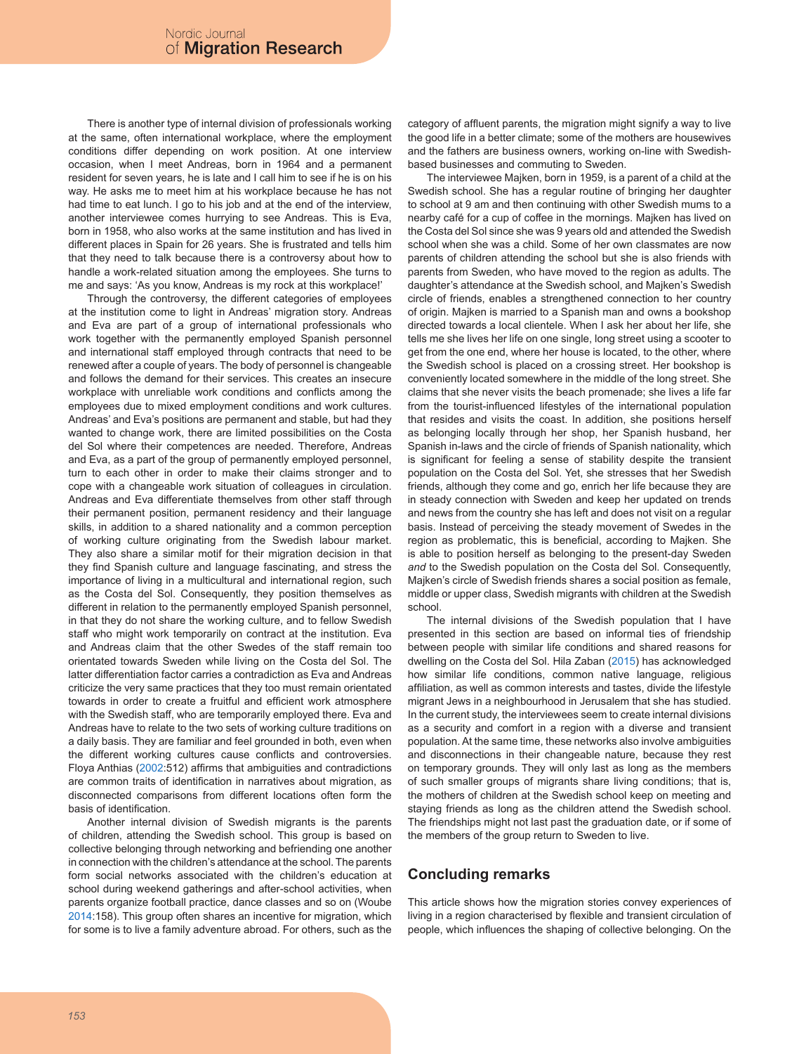There is another type of internal division of professionals working at the same, often international workplace, where the employment conditions differ depending on work position. At one interview occasion, when I meet Andreas, born in 1964 and a permanent resident for seven years, he is late and I call him to see if he is on his way. He asks me to meet him at his workplace because he has not had time to eat lunch. I go to his job and at the end of the interview, another interviewee comes hurrying to see Andreas. This is Eva, born in 1958, who also works at the same institution and has lived in different places in Spain for 26 years. She is frustrated and tells him that they need to talk because there is a controversy about how to handle a work-related situation among the employees. She turns to me and says: 'As you know, Andreas is my rock at this workplace!'

Through the controversy, the different categories of employees at the institution come to light in Andreas' migration story. Andreas and Eva are part of a group of international professionals who work together with the permanently employed Spanish personnel and international staff employed through contracts that need to be renewed after a couple of years. The body of personnel is changeable and follows the demand for their services. This creates an insecure workplace with unreliable work conditions and conflicts among the employees due to mixed employment conditions and work cultures. Andreas' and Eva's positions are permanent and stable, but had they wanted to change work, there are limited possibilities on the Costa del Sol where their competences are needed. Therefore, Andreas and Eva, as a part of the group of permanently employed personnel, turn to each other in order to make their claims stronger and to cope with a changeable work situation of colleagues in circulation. Andreas and Eva differentiate themselves from other staff through their permanent position, permanent residency and their language skills, in addition to a shared nationality and a common perception of working culture originating from the Swedish labour market. They also share a similar motif for their migration decision in that they find Spanish culture and language fascinating, and stress the importance of living in a multicultural and international region, such as the Costa del Sol. Consequently, they position themselves as different in relation to the permanently employed Spanish personnel, in that they do not share the working culture, and to fellow Swedish staff who might work temporarily on contract at the institution. Eva and Andreas claim that the other Swedes of the staff remain too orientated towards Sweden while living on the Costa del Sol. The latter differentiation factor carries a contradiction as Eva and Andreas criticize the very same practices that they too must remain orientated towards in order to create a fruitful and efficient work atmosphere with the Swedish staff, who are temporarily employed there. Eva and Andreas have to relate to the two sets of working culture traditions on a daily basis. They are familiar and feel grounded in both, even when the different working cultures cause conflicts and controversies. Floya Anthias (2002:512) affirms that ambiguities and contradictions are common traits of identification in narratives about migration, as disconnected comparisons from different locations often form the basis of identification.

Another internal division of Swedish migrants is the parents of children, attending the Swedish school. This group is based on collective belonging through networking and befriending one another in connection with the children's attendance at the school. The parents form social networks associated with the children's education at school during weekend gatherings and after-school activities, when parents organize football practice, dance classes and so on (Woube 2014:158). This group often shares an incentive for migration, which for some is to live a family adventure abroad. For others, such as the

category of affluent parents, the migration might signify a way to live the good life in a better climate; some of the mothers are housewives and the fathers are business owners, working on-line with Swedishbased businesses and commuting to Sweden.

The interviewee Majken, born in 1959, is a parent of a child at the Swedish school. She has a regular routine of bringing her daughter to school at 9 am and then continuing with other Swedish mums to a nearby café for a cup of coffee in the mornings. Majken has lived on the Costa del Sol since she was 9 years old and attended the Swedish school when she was a child. Some of her own classmates are now parents of children attending the school but she is also friends with parents from Sweden, who have moved to the region as adults. The daughter's attendance at the Swedish school, and Majken's Swedish circle of friends, enables a strengthened connection to her country of origin. Majken is married to a Spanish man and owns a bookshop directed towards a local clientele. When I ask her about her life, she tells me she lives her life on one single, long street using a scooter to get from the one end, where her house is located, to the other, where the Swedish school is placed on a crossing street. Her bookshop is conveniently located somewhere in the middle of the long street. She claims that she never visits the beach promenade; she lives a life far from the tourist-influenced lifestyles of the international population that resides and visits the coast. In addition, she positions herself as belonging locally through her shop, her Spanish husband, her Spanish in-laws and the circle of friends of Spanish nationality, which is significant for feeling a sense of stability despite the transient population on the Costa del Sol. Yet, she stresses that her Swedish friends, although they come and go, enrich her life because they are in steady connection with Sweden and keep her updated on trends and news from the country she has left and does not visit on a regular basis. Instead of perceiving the steady movement of Swedes in the region as problematic, this is beneficial, according to Majken. She is able to position herself as belonging to the present-day Sweden *and* to the Swedish population on the Costa del Sol. Consequently, Majken's circle of Swedish friends shares a social position as female, middle or upper class, Swedish migrants with children at the Swedish school.

The internal divisions of the Swedish population that I have presented in this section are based on informal ties of friendship between people with similar life conditions and shared reasons for dwelling on the Costa del Sol. Hila Zaban (2015) has acknowledged how similar life conditions, common native language, religious affiliation, as well as common interests and tastes, divide the lifestyle migrant Jews in a neighbourhood in Jerusalem that she has studied. In the current study, the interviewees seem to create internal divisions as a security and comfort in a region with a diverse and transient population. At the same time, these networks also involve ambiguities and disconnections in their changeable nature, because they rest on temporary grounds. They will only last as long as the members of such smaller groups of migrants share living conditions; that is, the mothers of children at the Swedish school keep on meeting and staying friends as long as the children attend the Swedish school. The friendships might not last past the graduation date, or if some of the members of the group return to Sweden to live.

# **Concluding remarks**

This article shows how the migration stories convey experiences of living in a region characterised by flexible and transient circulation of people, which influences the shaping of collective belonging. On the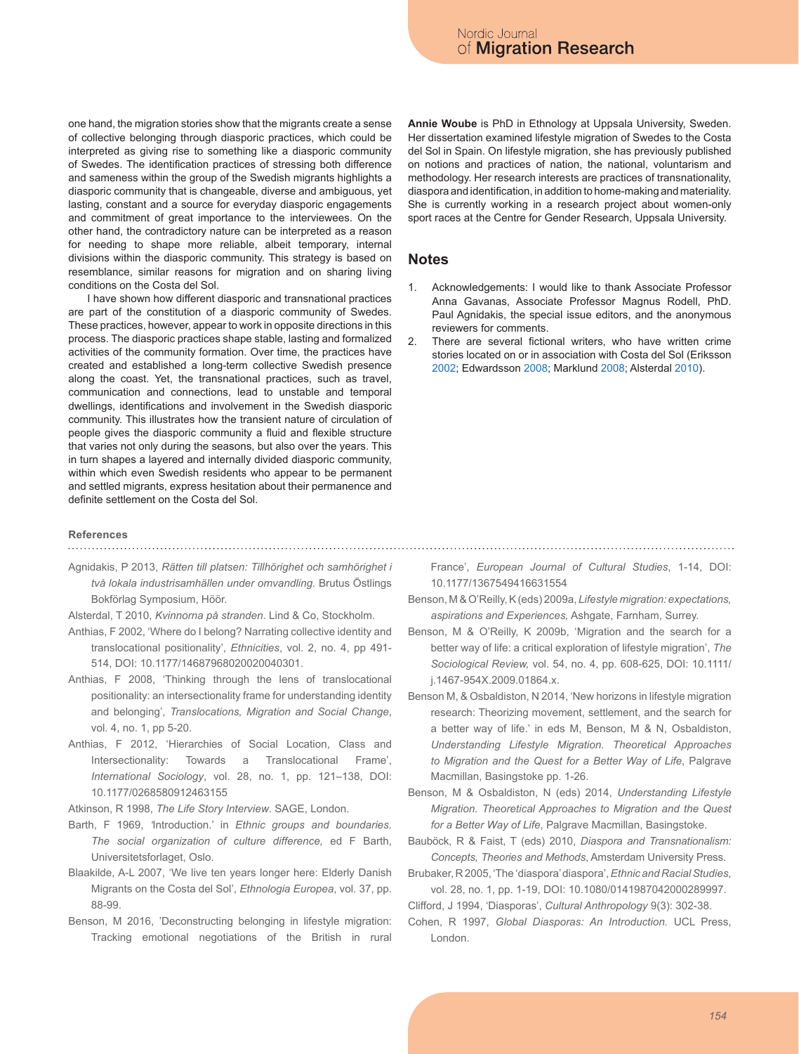Nordic Journal

one hand, the migration stories show that the migrants create a sense of collective belonging through diasporic practices, which could be interpreted as giving rise to something like a diasporic community of Swedes. The identification practices of stressing both difference and sameness within the group of the Swedish migrants highlights a diasporic community that is changeable, diverse and ambiguous, yet lasting, constant and a source for everyday diasporic engagements and commitment of great importance to the interviewees. On the other hand, the contradictory nature can be interpreted as a reason for needing to shape more reliable, albeit temporary, internal divisions within the diasporic community. This strategy is based on resemblance, similar reasons for migration and on sharing living conditions on the Costa del Sol.

I have shown how different diasporic and transnational practices are part of the constitution of a diasporic community of Swedes. These practices, however, appear to work in opposite directions in this process. The diasporic practices shape stable, lasting and formalized activities of the community formation. Over time, the practices have created and established a long-term collective Swedish presence along the coast. Yet, the transnational practices, such as travel, communication and connections, lead to unstable and temporal dwellings, identifications and involvement in the Swedish diasporic community. This illustrates how the transient nature of circulation of people gives the diasporic community a fluid and flexible structure that varies not only during the seasons, but also over the years. This in turn shapes a layered and internally divided diasporic community, within which even Swedish residents who appear to be permanent and settled migrants, express hesitation about their permanence and definite settlement on the Costa del Sol.

**Annie Woube** is PhD in Ethnology at Uppsala University, Sweden. Her dissertation examined lifestyle migration of Swedes to the Costa del Sol in Spain. On lifestyle migration, she has previously published on notions and practices of nation, the national, voluntarism and methodology. Her research interests are practices of transnationality, diaspora and identification, in addition to home-making and materiality. She is currently working in a research project about women-only sport races at the Centre for Gender Research, Uppsala University.

### **Notes**

- 1. Acknowledgements: I would like to thank Associate Professor Anna Gavanas, Associate Professor Magnus Rodell, PhD. Paul Agnidakis, the special issue editors, and the anonymous reviewers for comments.
- 2. There are several fictional writers, who have written crime stories located on or in association with Costa del Sol (Eriksson 2002; Edwardsson 2008; Marklund 2008; Alsterdal 2010).

# **References**

- Agnidakis, P 2013, *Rätten till platsen: Tillhörighet och samhörighet i två lokala industrisamhällen under omvandling.* Brutus Östlings Bokförlag Symposium, Höör.
- Alsterdal, T 2010, *Kvinnorna på stranden*. Lind & Co, Stockholm.
- Anthias, F 2002, 'Where do I belong? Narrating collective identity and translocational positionality', *Ethnicities*, vol. 2, no. 4, pp 491- 514, DOI: 10.1177/14687968020020040301.
- Anthias, F 2008, 'Thinking through the lens of translocational positionality: an intersectionality frame for understanding identity and belonging', *Translocations, Migration and Social Change*, vol. 4, no. 1, pp 5-20.
- Anthias, F 2012, 'Hierarchies of Social Location, Class and Intersectionality: Towards a Translocational Frame', *International Sociology*, vol. 28, no. 1, pp. 121–138, DOI: 10.1177/0268580912463155
- Atkinson, R 1998, *The Life Story Interview*. SAGE, London.
- Barth, F 1969, *'*Introduction.' in *Ethnic groups and boundaries. The social organization of culture difference,* ed F Barth, Universitetsforlaget, Oslo.
- Blaakilde, A-L 2007, 'We live ten years longer here: Elderly Danish Migrants on the Costa del Sol', *Ethnologia Europea*, vol. 37, pp. 88-99.
- Benson, M 2016, 'Deconstructing belonging in lifestyle migration: Tracking emotional negotiations of the British in rural

France', *European Journal of Cultural Studies*, 1-14, DOI: 10.1177/1367549416631554

Benson, M & O'Reilly, K (eds) 2009a, *Lifestyle migration: expectations, aspirations and Experiences,* Ashgate, Farnham, Surrey.

- Benson, M & O'Reilly, K 2009b, 'Migration and the search for a better way of life: a critical exploration of lifestyle migration', *The Sociological Review,* vol. 54, no. 4, pp. 608-625, DOI: 10.1111/ j.1467-954X.2009.01864.x.
- Benson M, & Osbaldiston, N 2014, 'New horizons in lifestyle migration research: Theorizing movement, settlement, and the search for a better way of life.' in eds M, Benson, M & N, Osbaldiston, *Understanding Lifestyle Migration. Theoretical Approaches to Migration and the Quest for a Better Way of Life*, Palgrave Macmillan, Basingstoke pp. 1-26.
- Benson, M & Osbaldiston, N (eds) 2014, *Understanding Lifestyle Migration. Theoretical Approaches to Migration and the Quest for a Better Way of Life*, Palgrave Macmillan, Basingstoke.
- Bauböck, R & Faist, T (eds) 2010, *Diaspora and Transnationalism: Concepts, Theories and Methods*, Amsterdam University Press.
- Brubaker, R 2005, 'The 'diaspora' diaspora', *Ethnic and Racial Studies,*  vol. 28, no. 1, pp. 1-19, DOI: 10.1080/0141987042000289997.
- Clifford, J 1994, 'Diasporas', *Cultural Anthropology* 9(3): 302-38.
- Cohen, R 1997, *Global Diasporas: An Introduction.* UCL Press, London.